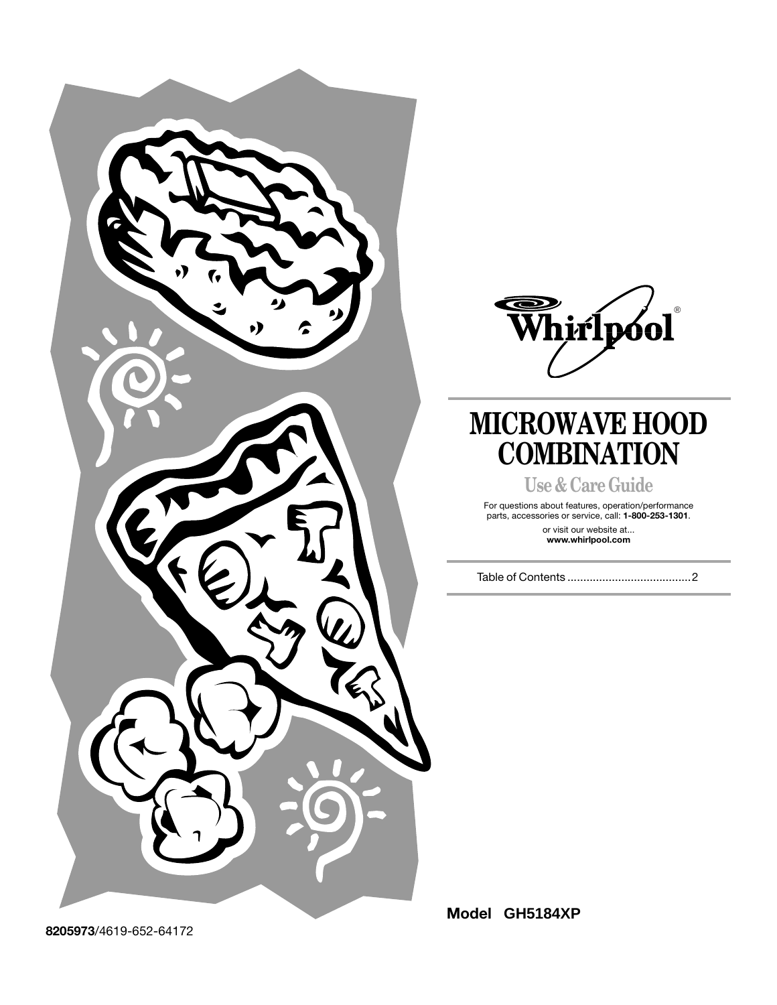



## **MICROWAVE HOOD COMBINATION**

**Use & Care Guide**

For questions about features, operation/performance parts, accessories or service, call: **1-800-253-1301**.

or visit our website at... **www.whirlpool.com**

Table of Contents .......................................2

**Model GH5184XP**

**8205973**/4619-652-64172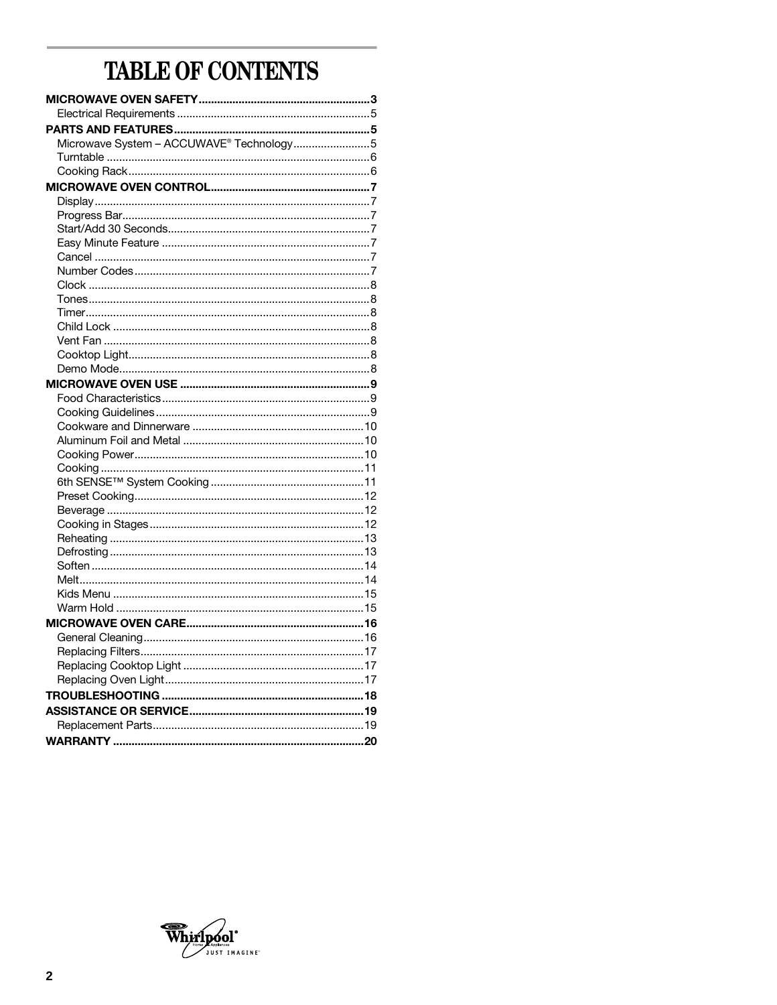## TABLE OF CONTENTS

| Microwave System - ACCUWAVE® Technology5 |  |
|------------------------------------------|--|
|                                          |  |
|                                          |  |
|                                          |  |
|                                          |  |
|                                          |  |
|                                          |  |
|                                          |  |
|                                          |  |
|                                          |  |
|                                          |  |
|                                          |  |
|                                          |  |
|                                          |  |
|                                          |  |
|                                          |  |
|                                          |  |
|                                          |  |
|                                          |  |
|                                          |  |
|                                          |  |
|                                          |  |
|                                          |  |
|                                          |  |
|                                          |  |
|                                          |  |
|                                          |  |
|                                          |  |
|                                          |  |
|                                          |  |
|                                          |  |
|                                          |  |
|                                          |  |
|                                          |  |
|                                          |  |
|                                          |  |
|                                          |  |
|                                          |  |
|                                          |  |
|                                          |  |
|                                          |  |
|                                          |  |
|                                          |  |
|                                          |  |
|                                          |  |
|                                          |  |

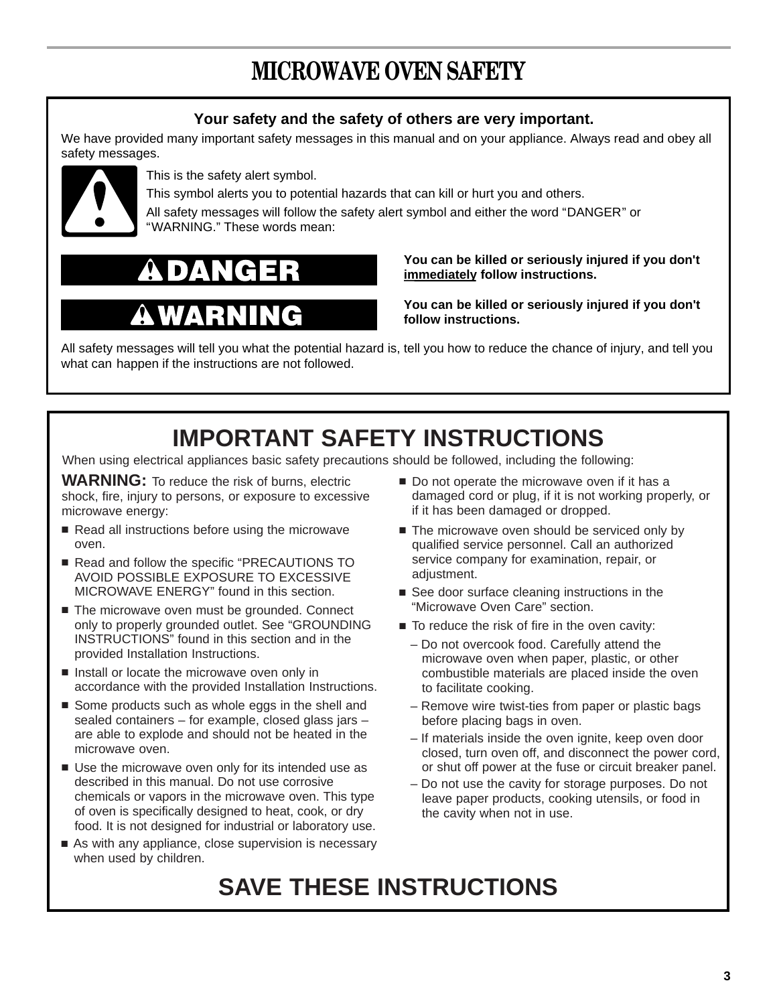## **MICROWAVE OVEN SAFETY**

## **Your safety and the safety of others are very important.**

We have provided many important safety messages in this manual and on your appliance. Always read and obey all safety messages.



This is the safety alert symbol.

This symbol alerts you to potential hazards that can kill or hurt you and others.

All safety messages will follow the safety alert symbol and either the word "DANGER" or "WARNING." These words mean:

# Ë

## **You can be killed or seriously injured if you don't immediately follow instructions.**

**You can be killed or seriously injured if you don't follow instructions.**

All safety messages will tell you what the potential hazard is, tell you how to reduce the chance of injury, and tell you what can happen if the instructions are not followed.

## **IMPORTANT SAFETY INSTRUCTIONS**

When using electrical appliances basic safety precautions should be followed, including the following:

**WARNING:** To reduce the risk of burns, electric shock, fire, injury to persons, or exposure to excessive microwave energy:

- Read all instructions before using the microwave oven.
- Read and follow the specific "PRECAUTIONS TO AVOID POSSIBLE EXPOSURE TO EXCESSIVE MICROWAVE ENERGY" found in this section.
- The microwave oven must be grounded. Connect only to properly grounded outlet. See "GROUNDING INSTRUCTIONS" found in this section and in the provided Installation Instructions.
- Install or locate the microwave oven only in accordance with the provided Installation Instructions.
- Some products such as whole eggs in the shell and sealed containers – for example, closed glass jars – are able to explode and should not be heated in the microwave oven.
- Use the microwave oven only for its intended use as described in this manual. Do not use corrosive chemicals or vapors in the microwave oven. This type of oven is specifically designed to heat, cook, or dry food. It is not designed for industrial or laboratory use.
- As with any appliance, close supervision is necessary when used by children.
- Do not operate the microwave oven if it has a damaged cord or plug, if it is not working properly, or if it has been damaged or dropped.
- The microwave oven should be serviced only by qualified service personnel. Call an authorized service company for examination, repair, or adiustment.
- See door surface cleaning instructions in the "Microwave Oven Care" section.
- To reduce the risk of fire in the oven cavity:
	- Do not overcook food. Carefully attend the microwave oven when paper, plastic, or other combustible materials are placed inside the oven to facilitate cooking.
	- Remove wire twist-ties from paper or plastic bags before placing bags in oven.
	- If materials inside the oven ignite, keep oven door closed, turn oven off, and disconnect the power cord, or shut off power at the fuse or circuit breaker panel.
	- Do not use the cavity for storage purposes. Do not leave paper products, cooking utensils, or food in the cavity when not in use.

## **SAVE THESE INSTRUCTIONS**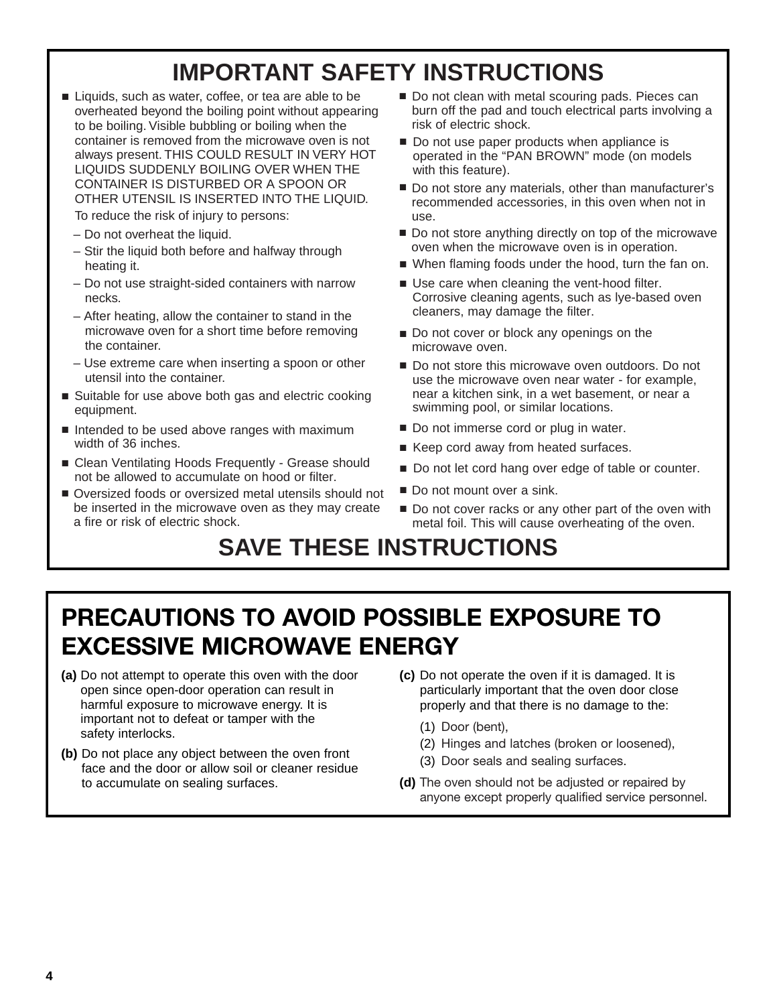## **IMPORTANT SAFETY INSTRUCTIONS**

■ Liquids, such as water, coffee, or tea are able to be overheated beyond the boiling point without appearing to be boiling. Visible bubbling or boiling when the container is removed from the microwave oven is not always present. THIS COULD RESULT IN VERY HOT LIQUIDS SUDDENLY BOILING OVER WHEN THE CONTAINER IS DISTURBED OR A SPOON OR OTHER UTENSIL IS INSERTED INTO THE LIQUID.

To reduce the risk of injury to persons:

- Do not overheat the liquid.
- Stir the liquid both before and halfway through heating it.
- Do not use straight-sided containers with narrow necks.
- After heating, allow the container to stand in the microwave oven for a short time before removing the container.
- Use extreme care when inserting a spoon or other utensil into the container.
- Suitable for use above both gas and electric cooking equipment.
- Intended to be used above ranges with maximum width of 36 inches.
- Clean Ventilating Hoods Frequently Grease should not be allowed to accumulate on hood or filter.
- Oversized foods or oversized metal utensils should not Do not mount over a sink. be inserted in the microwave oven as they may create a fire or risk of electric shock.
- Do not clean with metal scouring pads. Pieces can burn off the pad and touch electrical parts involving a risk of electric shock.
- Do not use paper products when appliance is operated in the "PAN BROWN" mode (on models with this feature).
- Do not store any materials, other than manufacturer's recommended accessories, in this oven when not in use.
- Do not store anything directly on top of the microwave oven when the microwave oven is in operation.
- When flaming foods under the hood, turn the fan on.
- Use care when cleaning the vent-hood filter. Corrosive cleaning agents, such as lye-based oven cleaners, may damage the filter.
- Do not cover or block any openings on the microwave oven.
- Do not store this microwave oven outdoors. Do not use the microwave oven near water - for example, near a kitchen sink, in a wet basement, or near a swimming pool, or similar locations.
- Do not immerse cord or plug in water.
- Keep cord away from heated surfaces.
- Do not let cord hang over edge of table or counter.
- Do not mount over a sink.
- Do not cover racks or any other part of the oven with metal foil. This will cause overheating of the oven.

## **SAVE THESE INSTRUCTIONS**

## **PRECAUTIONS TO AVOID POSSIBLE EXPOSURE TO EXCESSIVE MICROWAVE ENERGY**

- **(a)** Do not attempt to operate this oven with the door open since open-door operation can result in harmful exposure to microwave energy. It is important not to defeat or tamper with the safety interlocks.
- **(b)** Do not place any object between the oven front face and the door or allow soil or cleaner residue to accumulate on sealing surfaces.
- **(c)** Do not operate the oven if it is damaged. It is particularly important that the oven door close properly and that there is no damage to the:
	- (1) Door (bent),
	- (2) Hinges and latches (broken or loosened),
	- (3) Door seals and sealing surfaces.
- **(d)** The oven should not be adjusted or repaired by anyone except properly qualified service personnel.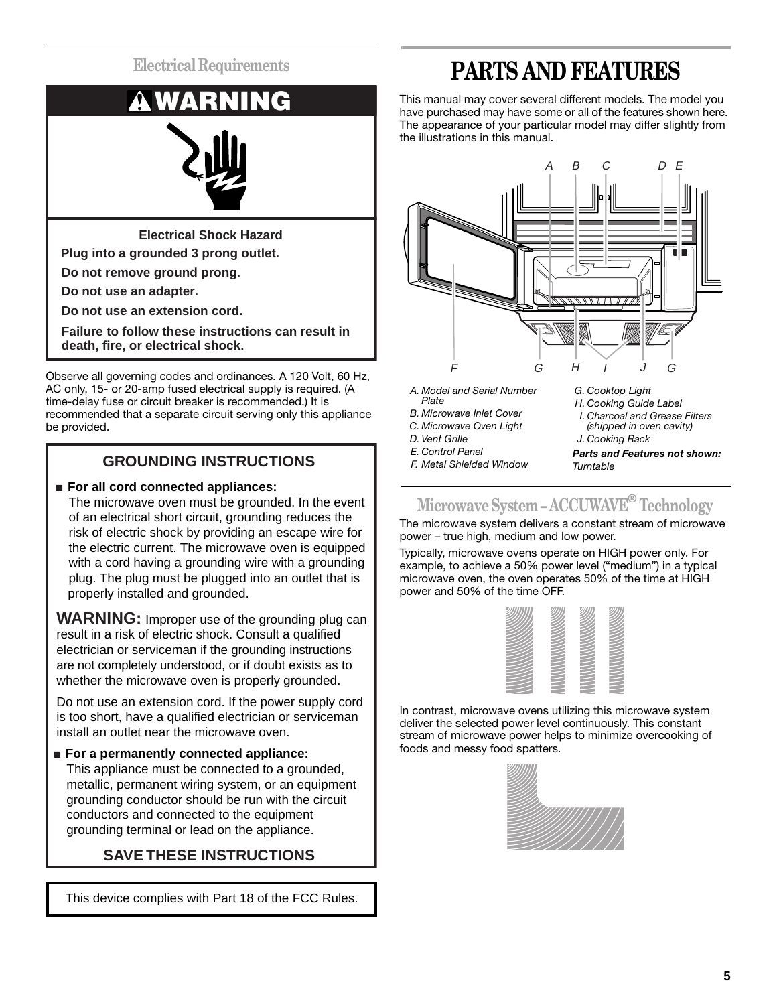

**Do not use an adapter.**

**Do not use an extension cord.**

**Failure to follow these instructions can result in death, fire, or electrical shock.**

Observe all governing codes and ordinances. A 120 Volt, 60 Hz, AC only, 15- or 20-amp fused electrical supply is required. (A time-delay fuse or circuit breaker is recommended.) It is recommended that a separate circuit serving only this appliance be provided.

## **GROUNDING INSTRUCTIONS**

## ■ **For all cord connected appliances:**

 The microwave oven must be grounded. In the event of an electrical short circuit, grounding reduces the risk of electric shock by providing an escape wire for the electric current. The microwave oven is equipped with a cord having a grounding wire with a grounding plug. The plug must be plugged into an outlet that is properly installed and grounded.

**WARNING:** Improper use of the grounding plug can result in a risk of electric shock. Consult a qualified electrician or serviceman if the grounding instructions are not completely understood, or if doubt exists as to whether the microwave oven is properly grounded.

Do not use an extension cord. If the power supply cord is too short, have a qualified electrician or serviceman install an outlet near the microwave oven.

## ■ For a permanently connected appliance:

 This appliance must be connected to a grounded, metallic, permanent wiring system, or an equipment grounding conductor should be run with the circuit conductors and connected to the equipment grounding terminal or lead on the appliance.

## **SAVE THESE INSTRUCTIONS**

This device complies with Part 18 of the FCC Rules.

## **PARTS AND FEATURES**

This manual may cover several different models. The model you have purchased may have some or all of the features shown here. The appearance of your particular model may differ slightly from the illustrations in this manual.



- *A. Model and Serial Number Plate*
- *B. Microwave Inlet Cover*
- *C. Microwave Oven Light*
- *D. Vent Grille*
- *E. Control Panel*

*F. Metal Shielded Window*

*G. Cooktop Light*

- *H. Cooking Guide Label*
- *I. Charcoal and Grease Filters (shipped in oven cavity)*
- *J. Cooking Rack*

*Parts and Features not shown: Turntable*

## **Microwave System – ACCUWAVE® Technology**

The microwave system delivers a constant stream of microwave power – true high, medium and low power.

Typically, microwave ovens operate on HIGH power only. For example, to achieve a 50% power level ("medium") in a typical microwave oven, the oven operates 50% of the time at HIGH power and 50% of the time OFF.

In contrast, microwave ovens utilizing this microwave system deliver the selected power level continuously. This constant stream of microwave power helps to minimize overcooking of foods and messy food spatters.

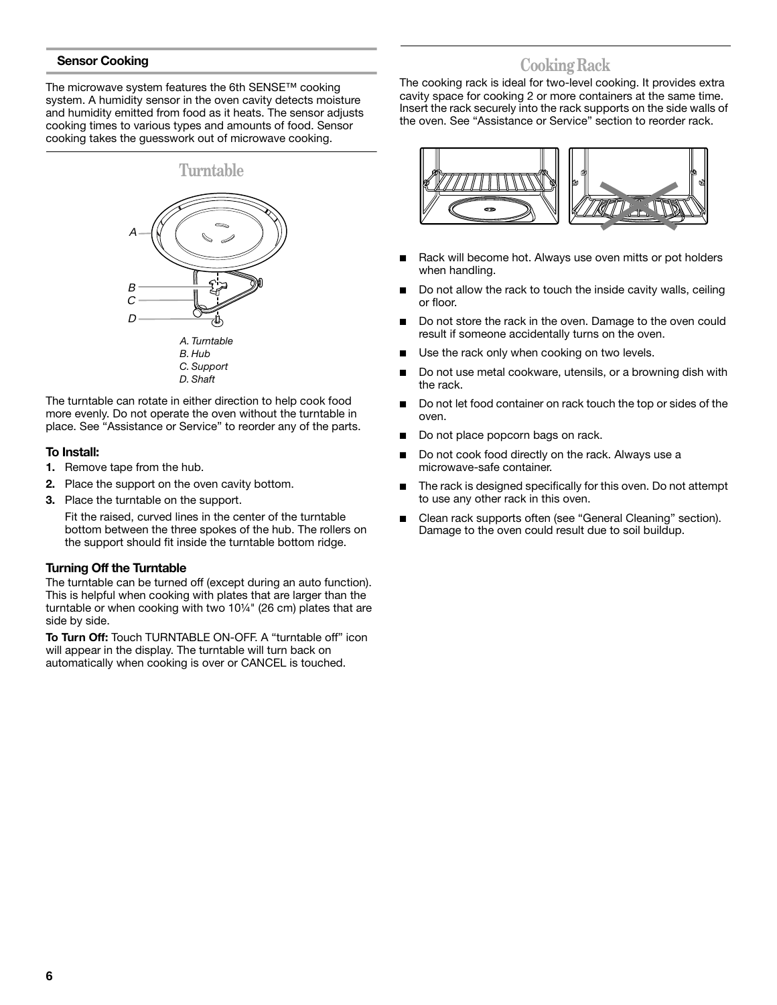## **Sensor Cooking**

The microwave system features the 6th SENSE™ cooking system. A humidity sensor in the oven cavity detects moisture and humidity emitted from food as it heats. The sensor adjusts cooking times to various types and amounts of food. Sensor cooking takes the guesswork out of microwave cooking.



The turntable can rotate in either direction to help cook food more evenly. Do not operate the oven without the turntable in place. See "Assistance or Service" to reorder any of the parts.

#### **To Install:**

- **1.** Remove tape from the hub.
- **2.** Place the support on the oven cavity bottom.
- **3.** Place the turntable on the support.

Fit the raised, curved lines in the center of the turntable bottom between the three spokes of the hub. The rollers on the support should fit inside the turntable bottom ridge.

## **Turning Off the Turntable**

The turntable can be turned off (except during an auto function). This is helpful when cooking with plates that are larger than the turntable or when cooking with two 10¼" (26 cm) plates that are side by side.

**To Turn Off:** Touch TURNTABLE ON-OFF. A "turntable off" icon will appear in the display. The turntable will turn back on automatically when cooking is over or CANCEL is touched.

## **Cooking Rack**

The cooking rack is ideal for two-level cooking. It provides extra cavity space for cooking 2 or more containers at the same time. Insert the rack securely into the rack supports on the side walls of the oven. See "Assistance or Service" section to reorder rack.



- Rack will become hot. Always use oven mitts or pot holders when handling.
- Do not allow the rack to touch the inside cavity walls, ceiling or floor.
- Do not store the rack in the oven. Damage to the oven could result if someone accidentally turns on the oven.
- Use the rack only when cooking on two levels.
- Do not use metal cookware, utensils, or a browning dish with the rack.
- Do not let food container on rack touch the top or sides of the oven.
- Do not place popcorn bags on rack.
- Do not cook food directly on the rack. Always use a microwave-safe container.
- The rack is designed specifically for this oven. Do not attempt to use any other rack in this oven.
- Clean rack supports often (see "General Cleaning" section). Damage to the oven could result due to soil buildup.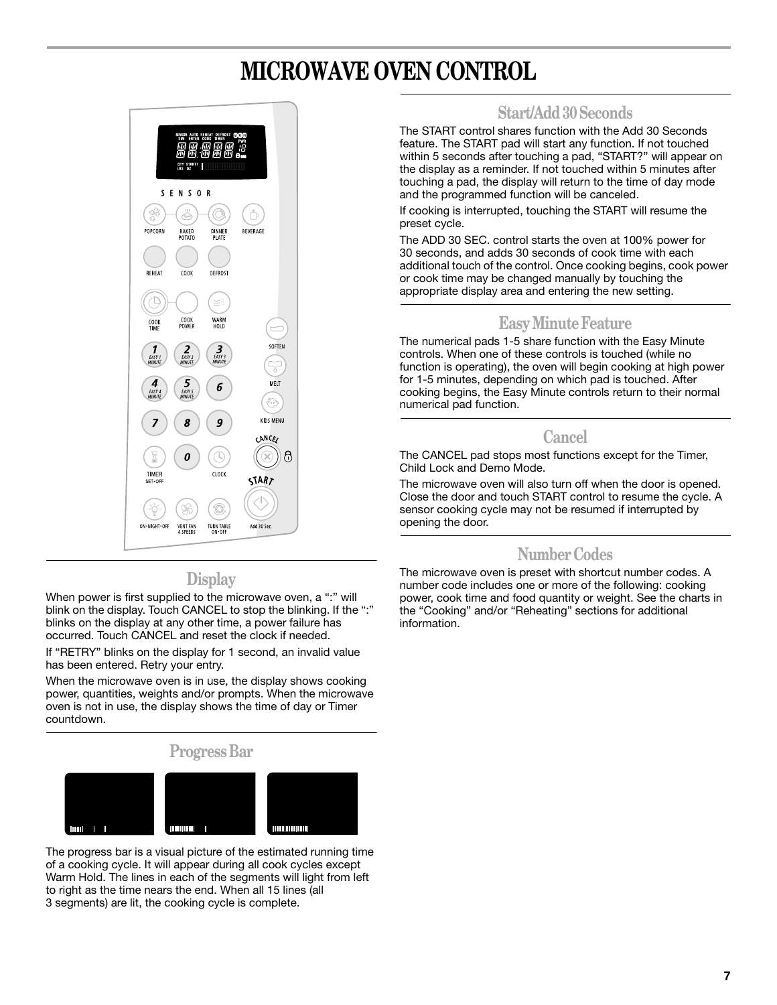## **MICROWAVE OVEN CONTROL**



## **Display**

When power is first supplied to the microwave oven, a ":" will blink on the display. Touch CANCEL to stop the blinking. If the ":" blinks on the display at any other time, a power failure has occurred. Touch CANCEL and reset the clock if needed.

If "RETRY" blinks on the display for 1 second, an invalid value has been entered. Retry your entry.

When the microwave oven is in use, the display shows cooking power, quantities, weights and/or prompts. When the microwave oven is not in use, the display shows the time of day or Timer countdown.



The progress bar is a visual picture of the estimated running time of a cooking cycle. It will appear during all cook cycles except Warm Hold. The lines in each of the segments will light from left to right as the time nears the end. When all 15 lines (all 3 segments) are lit, the cooking cycle is complete.

## **Start/Add 30 Seconds**

The START control shares function with the Add 30 Seconds feature. The START pad will start any function. If not touched within 5 seconds after touching a pad, "START?" will appear on the display as a reminder. If not touched within 5 minutes after touching a pad, the display will return to the time of day mode and the programmed function will be canceled.

If cooking is interrupted, touching the START will resume the preset cycle.

The ADD 30 SEC. control starts the oven at 100% power for 30 seconds, and adds 30 seconds of cook time with each additional touch of the control. Once cooking begins, cook power or cook time may be changed manually by touching the appropriate display area and entering the new setting.

## **Easy Minute Feature**

The numerical pads 1-5 share function with the Easy Minute controls. When one of these controls is touched (while no function is operating), the oven will begin cooking at high power for 1-5 minutes, depending on which pad is touched. After cooking begins, the Easy Minute controls return to their normal numerical pad function.

## **Cancel**

The CANCEL pad stops most functions except for the Timer, Child Lock and Demo Mode.

The microwave oven will also turn off when the door is opened. Close the door and touch START control to resume the cycle. A sensor cooking cycle may not be resumed if interrupted by opening the door.

## **Number Codes**

The microwave oven is preset with shortcut number codes. A number code includes one or more of the following: cooking power, cook time and food quantity or weight. See the charts in the "Cooking" and/or "Reheating" sections for additional information.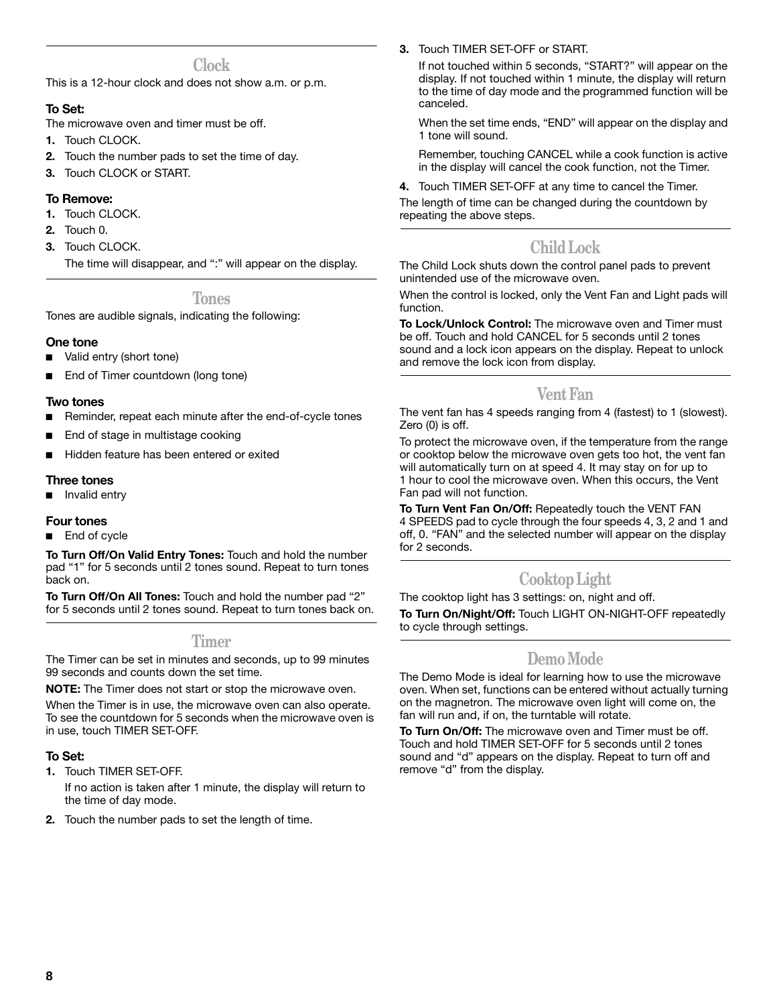## **Clock**

This is a 12-hour clock and does not show a.m. or p.m.

## **To Set:**

- The microwave oven and timer must be off.
- **1.** Touch CLOCK.
- **2.** Touch the number pads to set the time of day.
- **3.** Touch CLOCK or START.

## **To Remove:**

- **1.** Touch CLOCK.
- **2.** Touch 0.
- **3.** Touch CLOCK.

The time will disappear, and ":" will appear on the display.

**Tones**

Tones are audible signals, indicating the following:

## **One tone**

- Valid entry (short tone)
- End of Timer countdown (long tone)

#### **Two tones**

- Reminder, repeat each minute after the end-of-cycle tones
- End of stage in multistage cooking
- Hidden feature has been entered or exited

## **Three tones**

■ Invalid entry

## **Four tones**

End of cycle

**To Turn Off/On Valid Entry Tones:** Touch and hold the number pad "1" for 5 seconds until 2 tones sound. Repeat to turn tones back on.

**To Turn Off/On All Tones:** Touch and hold the number pad "2" for 5 seconds until 2 tones sound. Repeat to turn tones back on.

## **Timer**

The Timer can be set in minutes and seconds, up to 99 minutes 99 seconds and counts down the set time.

**NOTE:** The Timer does not start or stop the microwave oven.

When the Timer is in use, the microwave oven can also operate. To see the countdown for 5 seconds when the microwave oven is in use, touch TIMER SET-OFF.

## **To Set:**

**1.** Touch TIMER SET-OFF.

If no action is taken after 1 minute, the display will return to the time of day mode.

**2.** Touch the number pads to set the length of time.

**3.** Touch TIMER SET-OFF or START.

If not touched within 5 seconds, "START?" will appear on the display. If not touched within 1 minute, the display will return to the time of day mode and the programmed function will be canceled.

When the set time ends, "END" will appear on the display and 1 tone will sound.

Remember, touching CANCEL while a cook function is active in the display will cancel the cook function, not the Timer.

**4.** Touch TIMER SET-OFF at any time to cancel the Timer.

The length of time can be changed during the countdown by repeating the above steps.

## **Child Lock**

The Child Lock shuts down the control panel pads to prevent unintended use of the microwave oven.

When the control is locked, only the Vent Fan and Light pads will function.

**To Lock/Unlock Control:** The microwave oven and Timer must be off. Touch and hold CANCEL for 5 seconds until 2 tones sound and a lock icon appears on the display. Repeat to unlock and remove the lock icon from display.

## **Vent Fan**

The vent fan has 4 speeds ranging from 4 (fastest) to 1 (slowest). Zero (0) is off.

To protect the microwave oven, if the temperature from the range or cooktop below the microwave oven gets too hot, the vent fan will automatically turn on at speed 4. It may stay on for up to 1 hour to cool the microwave oven. When this occurs, the Vent Fan pad will not function.

**To Turn Vent Fan On/Off:** Repeatedly touch the VENT FAN 4 SPEEDS pad to cycle through the four speeds 4, 3, 2 and 1 and off, 0. "FAN" and the selected number will appear on the display for 2 seconds.

## **Cooktop Light**

The cooktop light has 3 settings: on, night and off. **To Turn On/Night/Off:** Touch LIGHT ON-NIGHT-OFF repeatedly to cycle through settings.

## **Demo Mode**

The Demo Mode is ideal for learning how to use the microwave oven. When set, functions can be entered without actually turning on the magnetron. The microwave oven light will come on, the fan will run and, if on, the turntable will rotate.

**To Turn On/Off:** The microwave oven and Timer must be off. Touch and hold TIMER SET-OFF for 5 seconds until 2 tones sound and "d" appears on the display. Repeat to turn off and remove "d" from the display.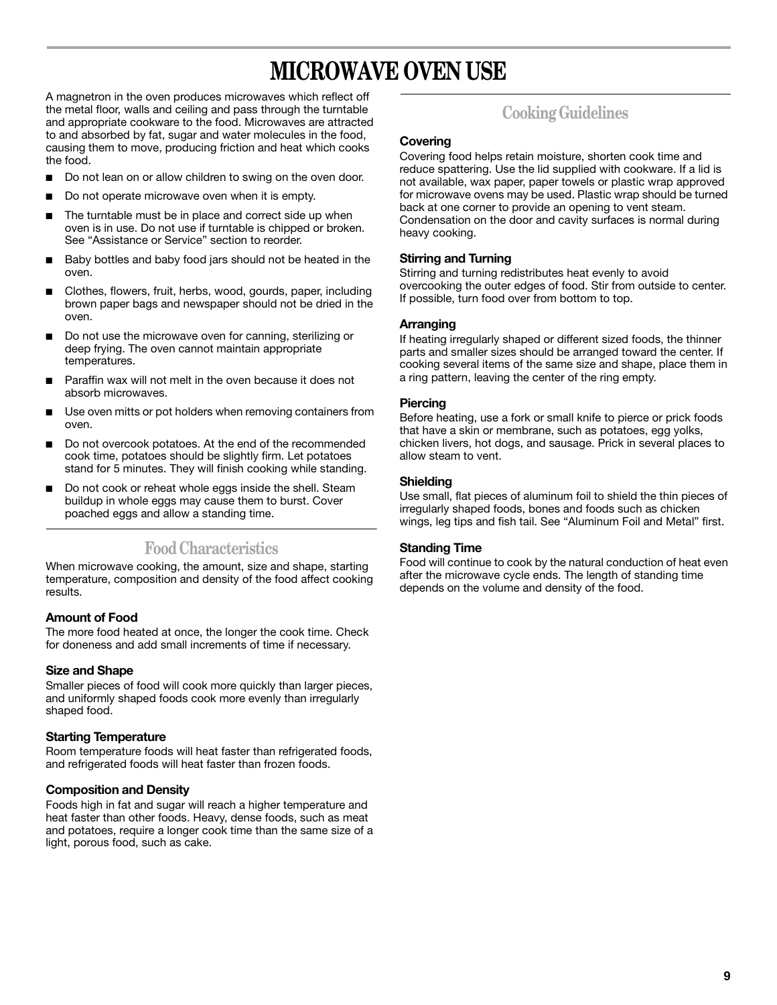## **MICROWAVE OVEN USE**

A magnetron in the oven produces microwaves which reflect off the metal floor, walls and ceiling and pass through the turntable and appropriate cookware to the food. Microwaves are attracted to and absorbed by fat, sugar and water molecules in the food, causing them to move, producing friction and heat which cooks the food.

- Do not lean on or allow children to swing on the oven door.
- Do not operate microwave oven when it is empty.
- The turntable must be in place and correct side up when oven is in use. Do not use if turntable is chipped or broken. See "Assistance or Service" section to reorder.
- Baby bottles and baby food jars should not be heated in the oven.
- Clothes, flowers, fruit, herbs, wood, gourds, paper, including brown paper bags and newspaper should not be dried in the oven.
- Do not use the microwave oven for canning, sterilizing or deep frying. The oven cannot maintain appropriate temperatures.
- Paraffin wax will not melt in the oven because it does not absorb microwaves.
- Use oven mitts or pot holders when removing containers from oven.
- Do not overcook potatoes. At the end of the recommended cook time, potatoes should be slightly firm. Let potatoes stand for 5 minutes. They will finish cooking while standing.
- Do not cook or reheat whole eggs inside the shell. Steam buildup in whole eggs may cause them to burst. Cover poached eggs and allow a standing time.

## **Food Characteristics**

When microwave cooking, the amount, size and shape, starting temperature, composition and density of the food affect cooking results.

## **Amount of Food**

The more food heated at once, the longer the cook time. Check for doneness and add small increments of time if necessary.

## **Size and Shape**

Smaller pieces of food will cook more quickly than larger pieces, and uniformly shaped foods cook more evenly than irregularly shaped food.

## **Starting Temperature**

Room temperature foods will heat faster than refrigerated foods, and refrigerated foods will heat faster than frozen foods.

#### **Composition and Density**

Foods high in fat and sugar will reach a higher temperature and heat faster than other foods. Heavy, dense foods, such as meat and potatoes, require a longer cook time than the same size of a light, porous food, such as cake.

## **Cooking Guidelines**

#### **Covering**

Covering food helps retain moisture, shorten cook time and reduce spattering. Use the lid supplied with cookware. If a lid is not available, wax paper, paper towels or plastic wrap approved for microwave ovens may be used. Plastic wrap should be turned back at one corner to provide an opening to vent steam. Condensation on the door and cavity surfaces is normal during heavy cooking.

#### **Stirring and Turning**

Stirring and turning redistributes heat evenly to avoid overcooking the outer edges of food. Stir from outside to center. If possible, turn food over from bottom to top.

#### **Arranging**

If heating irregularly shaped or different sized foods, the thinner parts and smaller sizes should be arranged toward the center. If cooking several items of the same size and shape, place them in a ring pattern, leaving the center of the ring empty.

#### **Piercing**

Before heating, use a fork or small knife to pierce or prick foods that have a skin or membrane, such as potatoes, egg yolks, chicken livers, hot dogs, and sausage. Prick in several places to allow steam to vent.

#### **Shielding**

Use small, flat pieces of aluminum foil to shield the thin pieces of irregularly shaped foods, bones and foods such as chicken wings, leg tips and fish tail. See "Aluminum Foil and Metal" first.

#### **Standing Time**

Food will continue to cook by the natural conduction of heat even after the microwave cycle ends. The length of standing time depends on the volume and density of the food.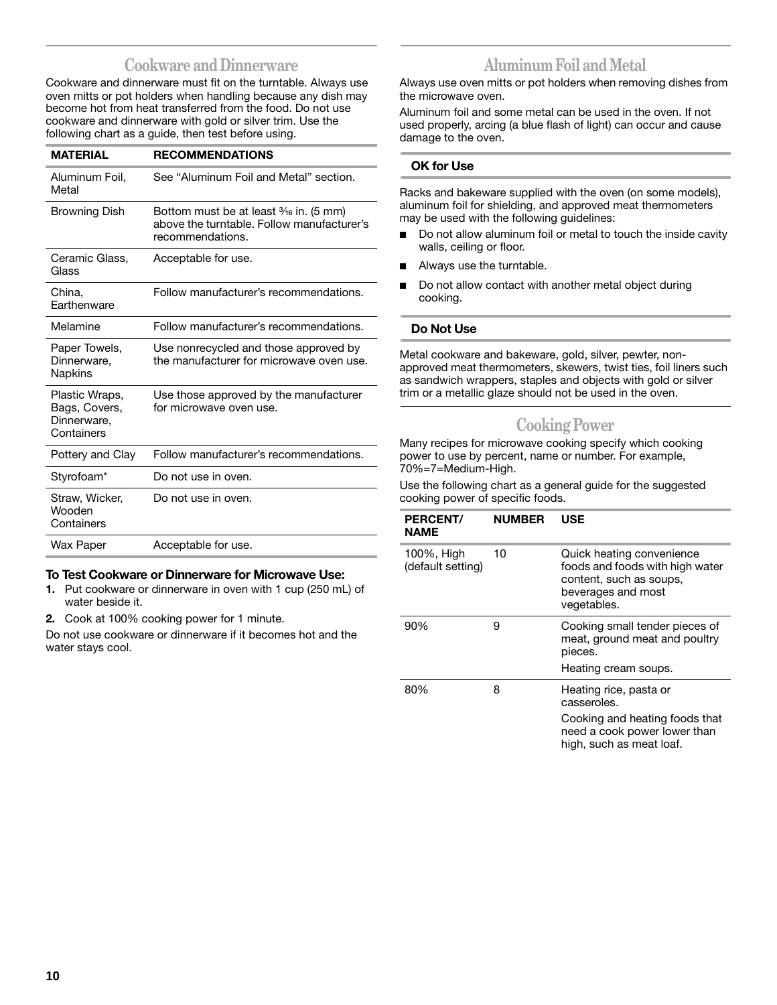## **Cookware and Dinnerware**

Cookware and dinnerware must fit on the turntable. Always use oven mitts or pot holders when handling because any dish may become hot from heat transferred from the food. Do not use cookware and dinnerware with gold or silver trim. Use the following chart as a guide, then test before using.

| <b>MATERIAL</b>                                              | <b>RECOMMENDATIONS</b>                                                                                              |
|--------------------------------------------------------------|---------------------------------------------------------------------------------------------------------------------|
| Aluminum Foil,<br>Metal                                      | See "Aluminum Foil and Metal" section.                                                                              |
| <b>Browning Dish</b>                                         | Bottom must be at least $\frac{3}{16}$ in. (5 mm)<br>above the turntable. Follow manufacturer's<br>recommendations. |
| Ceramic Glass,<br>Glass                                      | Acceptable for use.                                                                                                 |
| China,<br>Farthenware                                        | Follow manufacturer's recommendations.                                                                              |
| Melamine                                                     | Follow manufacturer's recommendations.                                                                              |
| Paper Towels,<br>Dinnerware.<br>Napkins                      | Use nonrecycled and those approved by<br>the manufacturer for microwave oven use.                                   |
| Plastic Wraps,<br>Bags, Covers,<br>Dinnerware,<br>Containers | Use those approved by the manufacturer<br>for microwave oven use.                                                   |
| Pottery and Clay                                             | Follow manufacturer's recommendations.                                                                              |
| Styrofoam*                                                   | Do not use in oven.                                                                                                 |
| Straw, Wicker,<br>Wooden<br>Containers                       | Do not use in oven.                                                                                                 |
| Wax Paper                                                    | Acceptable for use.                                                                                                 |

## **To Test Cookware or Dinnerware for Microwave Use:**

- **1.** Put cookware or dinnerware in oven with 1 cup (250 mL) of water beside it.
- **2.** Cook at 100% cooking power for 1 minute.

Do not use cookware or dinnerware if it becomes hot and the water stays cool.

## **Aluminum Foil and Metal**

Always use oven mitts or pot holders when removing dishes from the microwave oven.

Aluminum foil and some metal can be used in the oven. If not used properly, arcing (a blue flash of light) can occur and cause damage to the oven.

## **OK for Use**

Racks and bakeware supplied with the oven (on some models), aluminum foil for shielding, and approved meat thermometers may be used with the following guidelines:

- Do not allow aluminum foil or metal to touch the inside cavity walls, ceiling or floor.
- Always use the turntable.
- Do not allow contact with another metal object during cooking.

#### **Do Not Use**

Metal cookware and bakeware, gold, silver, pewter, nonapproved meat thermometers, skewers, twist ties, foil liners such as sandwich wrappers, staples and objects with gold or silver trim or a metallic glaze should not be used in the oven.

## **Cooking Power**

Many recipes for microwave cooking specify which cooking power to use by percent, name or number. For example, 70%=7=Medium-High.

Use the following chart as a general guide for the suggested cooking power of specific foods.

| <b>PERCENT/</b><br><b>NAME</b>  | <b>NUMBER</b> | USE                                                                                                                          |
|---------------------------------|---------------|------------------------------------------------------------------------------------------------------------------------------|
| 100%, High<br>(default setting) | 10            | Quick heating convenience<br>foods and foods with high water<br>content, such as soups,<br>beverages and most<br>vegetables. |
| 90%                             | 9             | Cooking small tender pieces of<br>meat, ground meat and poultry<br>pieces.                                                   |
|                                 |               | Heating cream soups.                                                                                                         |
| 80%                             | 8             | Heating rice, pasta or<br>casseroles.                                                                                        |
|                                 |               | Cooking and heating foods that<br>need a cook power lower than<br>high, such as meat loaf.                                   |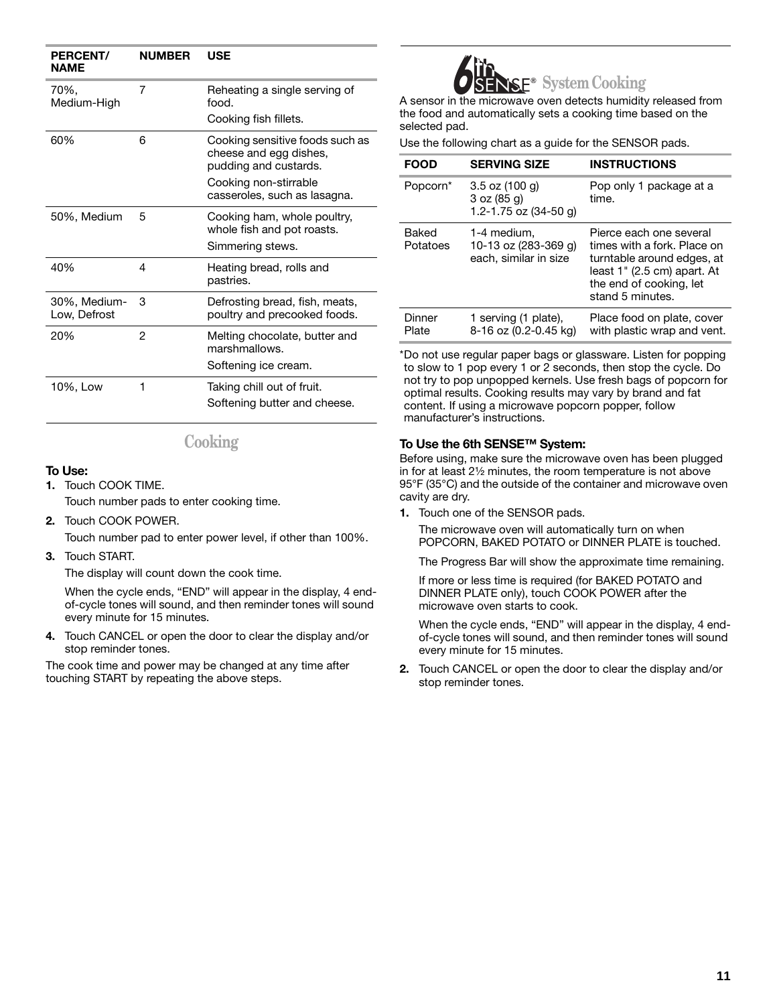| <b>PERCENT/</b><br><b>NAME</b> | <b>NUMBER</b> | USE                                                                                                                                         |
|--------------------------------|---------------|---------------------------------------------------------------------------------------------------------------------------------------------|
| 70%.<br>Medium-High            | 7             | Reheating a single serving of<br>food.                                                                                                      |
|                                |               | Cooking fish fillets.                                                                                                                       |
| 60%                            | 6             | Cooking sensitive foods such as<br>cheese and egg dishes,<br>pudding and custards.<br>Cooking non-stirrable<br>casseroles, such as lasagna. |
| 50%, Medium                    | 5             | Cooking ham, whole poultry,<br>whole fish and pot roasts.<br>Simmering stews.                                                               |
| 40%                            | 4             | Heating bread, rolls and<br>pastries.                                                                                                       |
| 30%, Medium-<br>Low, Defrost   | 3             | Defrosting bread, fish, meats,<br>poultry and precooked foods.                                                                              |
| 20%                            | 2             | Melting chocolate, butter and<br>marshmallows.                                                                                              |
|                                |               | Softening ice cream.                                                                                                                        |
| 10%, Low                       | 1             | Taking chill out of fruit.                                                                                                                  |
|                                |               | Softening butter and cheese.                                                                                                                |

## **Cooking**

## **To Use:**

**1.** Touch COOK TIME.

Touch number pads to enter cooking time.

**2.** Touch COOK POWER.

Touch number pad to enter power level, if other than 100%.

**3.** Touch START.

The display will count down the cook time.

When the cycle ends, "END" will appear in the display, 4 endof-cycle tones will sound, and then reminder tones will sound every minute for 15 minutes.

**4.** Touch CANCEL or open the door to clear the display and/or stop reminder tones.

The cook time and power may be changed at any time after touching START by repeating the above steps.



A sensor in the microwave oven detects humidity released from the food and automatically sets a cooking time based on the selected pad.

Use the following chart as a guide for the SENSOR pads.

| FOOD                 | <b>SERVING SIZE</b>                                          | <b>INSTRUCTIONS</b>                                                                                                                                                |
|----------------------|--------------------------------------------------------------|--------------------------------------------------------------------------------------------------------------------------------------------------------------------|
| Popcorn <sup>*</sup> | $3.5$ oz (100 g)<br>3 oz (85 g)<br>1.2-1.75 oz $(34-50)$ g)  | Pop only 1 package at a<br>time.                                                                                                                                   |
| Baked<br>Potatoes    | 1-4 medium.<br>10-13 oz (283-369 g)<br>each, similar in size | Pierce each one several<br>times with a fork. Place on<br>turntable around edges, at<br>least 1" (2.5 cm) apart. At<br>the end of cooking, let<br>stand 5 minutes. |
| Dinner<br>Plate      | 1 serving (1 plate),<br>8-16 oz (0.2-0.45 kg)                | Place food on plate, cover<br>with plastic wrap and vent.                                                                                                          |

\*Do not use regular paper bags or glassware. Listen for popping to slow to 1 pop every 1 or 2 seconds, then stop the cycle. Do not try to pop unpopped kernels. Use fresh bags of popcorn for optimal results. Cooking results may vary by brand and fat content. If using a microwave popcorn popper, follow manufacturer's instructions.

## **To Use the 6th SENSE™ System:**

Before using, make sure the microwave oven has been plugged in for at least 21/2 minutes, the room temperature is not above 95°F (35°C) and the outside of the container and microwave oven cavity are dry.

**1.** Touch one of the SENSOR pads.

The microwave oven will automatically turn on when POPCORN, BAKED POTATO or DINNER PLATE is touched.

The Progress Bar will show the approximate time remaining.

If more or less time is required (for BAKED POTATO and DINNER PLATE only), touch COOK POWER after the microwave oven starts to cook.

When the cycle ends, "END" will appear in the display, 4 endof-cycle tones will sound, and then reminder tones will sound every minute for 15 minutes.

**2.** Touch CANCEL or open the door to clear the display and/or stop reminder tones.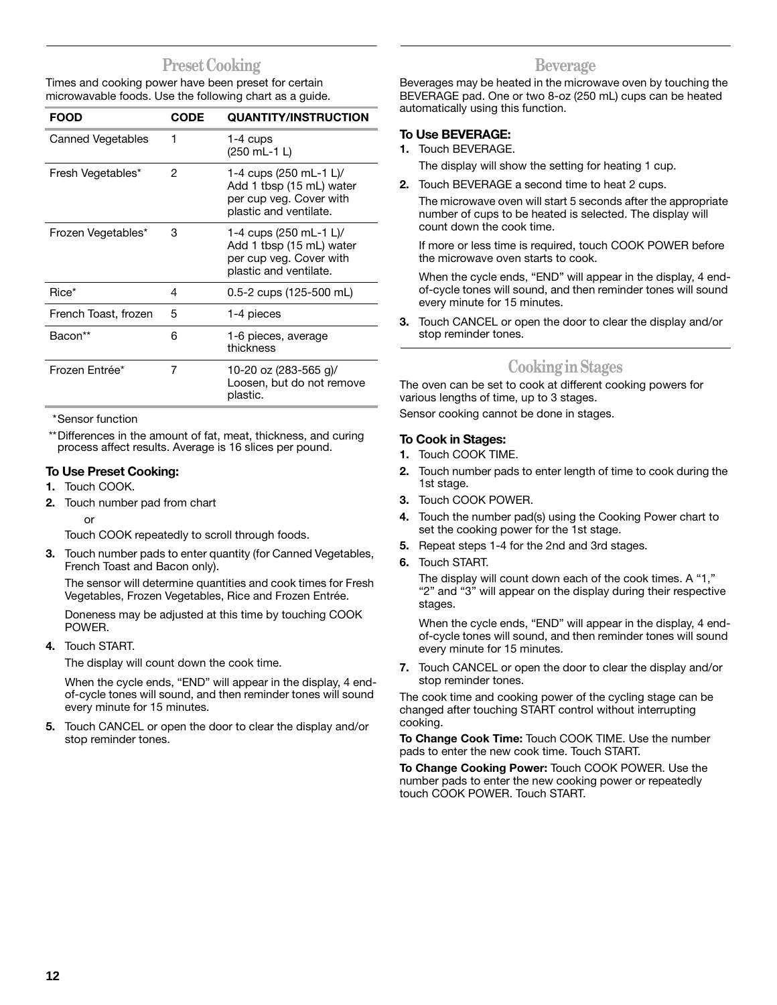## **Preset Cooking**

Times and cooking power have been preset for certain microwavable foods. Use the following chart as a guide.

| <b>FOOD</b>          | <b>CODE</b> | <b>QUANTITY/INSTRUCTION</b>                                                                             |
|----------------------|-------------|---------------------------------------------------------------------------------------------------------|
| Canned Vegetables    | 1           | $1-4$ cups<br>$(250 \text{ mL} - 1 \text{ L})$                                                          |
| Fresh Vegetables*    | 2           | 1-4 cups (250 mL-1 L)/<br>Add 1 tbsp (15 mL) water<br>per cup veg. Cover with<br>plastic and ventilate. |
| Frozen Vegetables*   | 3           | 1-4 cups (250 mL-1 L)/<br>Add 1 tbsp (15 mL) water<br>per cup veg. Cover with<br>plastic and ventilate. |
| Rice*                | 4           | $0.5 - 2$ cups (125-500 mL)                                                                             |
| French Toast, frozen | 5           | 1-4 pieces                                                                                              |
| Bacon**              | 6           | 1-6 pieces, average<br>thickness                                                                        |
| Frozen Entrée*       | 7           | 10-20 oz (283-565 g)/<br>Loosen, but do not remove<br>plastic.                                          |

\*Sensor function

\*\*Differences in the amount of fat, meat, thickness, and curing process affect results. Average is 16 slices per pound.

## **To Use Preset Cooking:**

- **1.** Touch COOK.
- **2.** Touch number pad from chart

or

Touch COOK repeatedly to scroll through foods.

**3.** Touch number pads to enter quantity (for Canned Vegetables, French Toast and Bacon only).

The sensor will determine quantities and cook times for Fresh Vegetables, Frozen Vegetables, Rice and Frozen Entrée.

Doneness may be adjusted at this time by touching COOK POWER.

**4.** Touch START.

The display will count down the cook time.

When the cycle ends, "END" will appear in the display, 4 endof-cycle tones will sound, and then reminder tones will sound every minute for 15 minutes.

**5.** Touch CANCEL or open the door to clear the display and/or stop reminder tones.

## **Beverage**

Beverages may be heated in the microwave oven by touching the BEVERAGE pad. One or two 8-oz (250 mL) cups can be heated automatically using this function.

## **To Use BEVERAGE:**

**1.** Touch BEVERAGE.

The display will show the setting for heating 1 cup.

- **2.** Touch BEVERAGE a second time to heat 2 cups.
	- The microwave oven will start 5 seconds after the appropriate number of cups to be heated is selected. The display will count down the cook time.

If more or less time is required, touch COOK POWER before the microwave oven starts to cook.

When the cycle ends, "END" will appear in the display, 4 endof-cycle tones will sound, and then reminder tones will sound every minute for 15 minutes.

**3.** Touch CANCEL or open the door to clear the display and/or stop reminder tones.

## **Cooking in Stages**

The oven can be set to cook at different cooking powers for various lengths of time, up to 3 stages.

Sensor cooking cannot be done in stages.

### **To Cook in Stages:**

- **1.** Touch COOK TIME.
- **2.** Touch number pads to enter length of time to cook during the 1st stage.
- **3.** Touch COOK POWER.
- **4.** Touch the number pad(s) using the Cooking Power chart to set the cooking power for the 1st stage.
- **5.** Repeat steps 1-4 for the 2nd and 3rd stages.
- **6.** Touch START.

The display will count down each of the cook times. A "1," "2" and "3" will appear on the display during their respective stages.

When the cycle ends, "END" will appear in the display, 4 endof-cycle tones will sound, and then reminder tones will sound every minute for 15 minutes.

**7.** Touch CANCEL or open the door to clear the display and/or stop reminder tones.

The cook time and cooking power of the cycling stage can be changed after touching START control without interrupting cooking.

**To Change Cook Time:** Touch COOK TIME. Use the number pads to enter the new cook time. Touch START.

**To Change Cooking Power:** Touch COOK POWER. Use the number pads to enter the new cooking power or repeatedly touch COOK POWER. Touch START.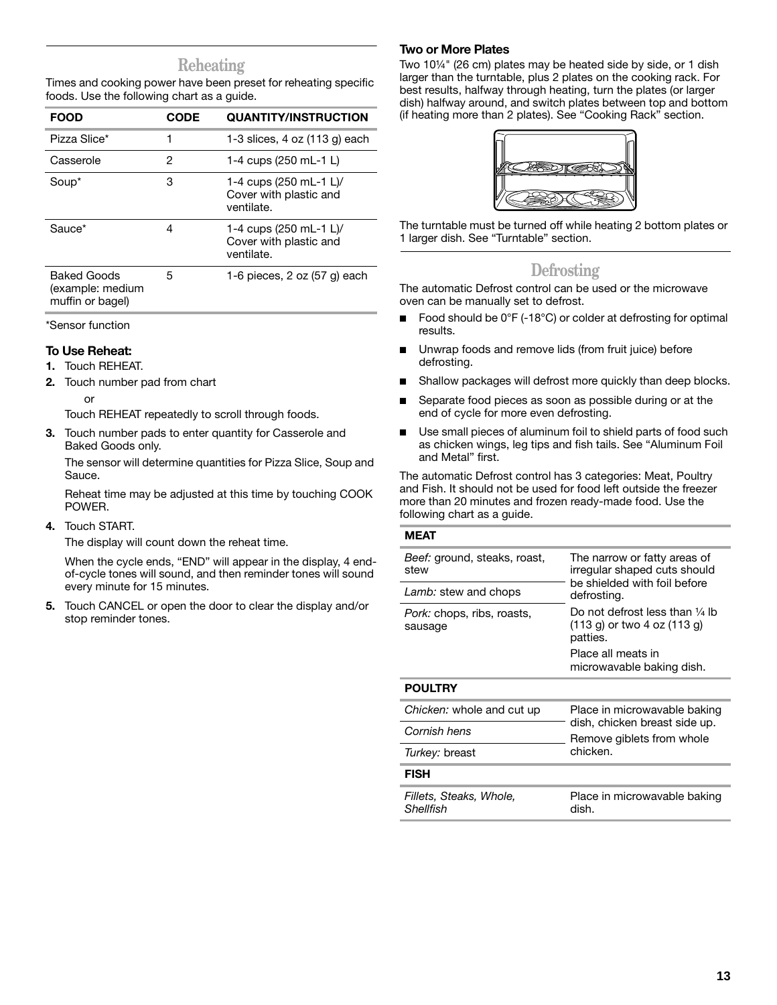## **Reheating**

Times and cooking power have been preset for reheating specific foods. Use the following chart as a guide.

| <b>FOOD</b>                                         | <b>CODE</b> | <b>QUANTITY/INSTRUCTION</b>                                    |
|-----------------------------------------------------|-------------|----------------------------------------------------------------|
| Pizza Slice*                                        | 1           | 1-3 slices, 4 oz (113 g) each                                  |
| Casserole                                           | 2           | 1-4 cups (250 mL-1 L)                                          |
| Soup*                                               | 3           | 1-4 cups (250 mL-1 L)/<br>Cover with plastic and<br>ventilate. |
| Sauce*                                              | 4           | 1-4 cups (250 mL-1 L)/<br>Cover with plastic and<br>ventilate. |
| Baked Goods<br>(example: medium<br>muffin or bagel) | 5           | 1-6 pieces, $2$ oz $(57$ g) each                               |

\*Sensor function

#### **To Use Reheat:**

- **1.** Touch REHEAT.
- **2.** Touch number pad from chart

or

Touch REHEAT repeatedly to scroll through foods.

**3.** Touch number pads to enter quantity for Casserole and Baked Goods only.

The sensor will determine quantities for Pizza Slice, Soup and Sauce.

Reheat time may be adjusted at this time by touching COOK POWER.

**4.** Touch START.

The display will count down the reheat time.

When the cycle ends, "END" will appear in the display, 4 endof-cycle tones will sound, and then reminder tones will sound every minute for 15 minutes.

**5.** Touch CANCEL or open the door to clear the display and/or stop reminder tones.

### **Two or More Plates**

Two 10¼" (26 cm) plates may be heated side by side, or 1 dish larger than the turntable, plus 2 plates on the cooking rack. For best results, halfway through heating, turn the plates (or larger dish) halfway around, and switch plates between top and bottom (if heating more than 2 plates). See "Cooking Rack" section.



The turntable must be turned off while heating 2 bottom plates or 1 larger dish. See "Turntable" section.

## **Defrosting**

The automatic Defrost control can be used or the microwave oven can be manually set to defrost.

- Food should be  $0^{\circ}F$  (-18 $^{\circ}C$ ) or colder at defrosting for optimal results.
- Unwrap foods and remove lids (from fruit juice) before defrosting.
- Shallow packages will defrost more quickly than deep blocks.
- Separate food pieces as soon as possible during or at the end of cycle for more even defrosting.
- Use small pieces of aluminum foil to shield parts of food such as chicken wings, leg tips and fish tails. See "Aluminum Foil and Metal" first.

The automatic Defrost control has 3 categories: Meat, Poultry and Fish. It should not be used for food left outside the freezer more than 20 minutes and frozen ready-made food. Use the following chart as a guide.

#### **MEAT**

| Beef: ground, steaks, roast,<br>stew         | The narrow or fatty areas of<br>irregular shaped cuts should<br>be shielded with foil before |
|----------------------------------------------|----------------------------------------------------------------------------------------------|
| Lamb: stew and chops                         | defrosting.                                                                                  |
| <i>Pork:</i> chops, ribs, roasts,<br>sausage | Do not defrost less than $\frac{1}{4}$ lb<br>(113 g) or two 4 oz (113 g)<br>patties.         |
|                                              | Place all meats in<br>microwavable baking dish.                                              |
| <b>POULTRY</b>                               |                                                                                              |
| Chicken: whole and cut up                    | Place in microwavable baking                                                                 |
| Cornish hens                                 | dish, chicken breast side up.<br>Remove giblets from whole                                   |
| Turkey: breast                               | chicken.                                                                                     |
| <b>FISH</b>                                  |                                                                                              |
| Fillets, Steaks, Whole,<br>Shellfish         | Place in microwavable baking<br>dish.                                                        |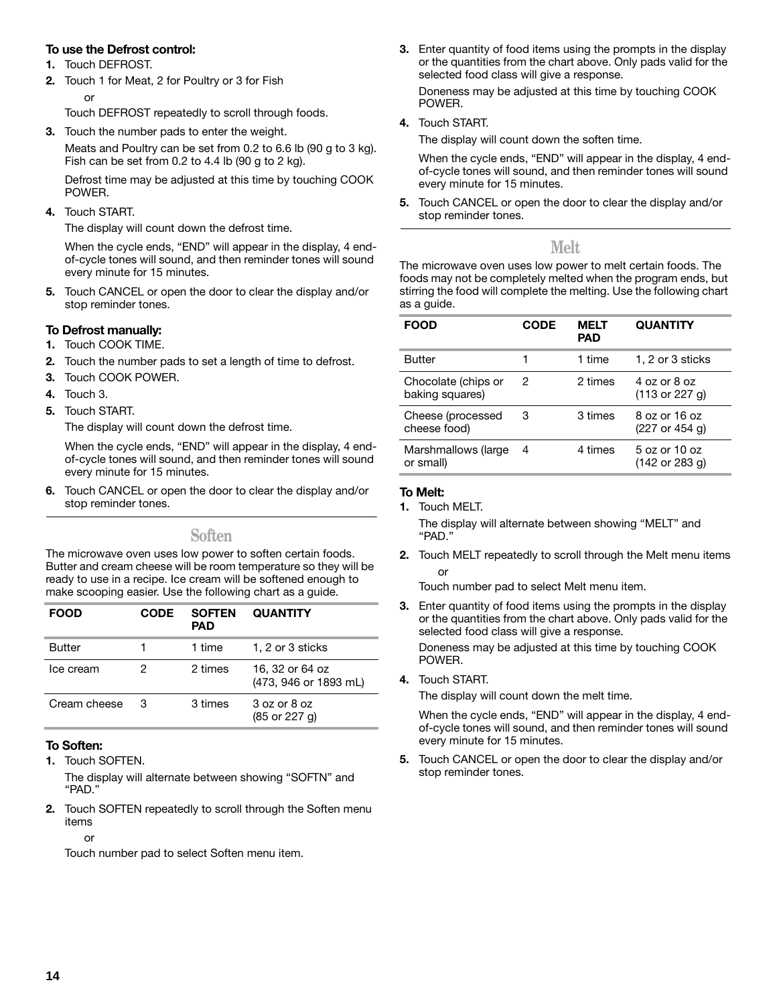## **To use the Defrost control:**

- **1.** Touch DEFROST.
- **2.** Touch 1 for Meat, 2 for Poultry or 3 for Fish

or

Touch DEFROST repeatedly to scroll through foods.

**3.** Touch the number pads to enter the weight.

Meats and Poultry can be set from 0.2 to 6.6 lb (90 g to 3 kg). Fish can be set from 0.2 to 4.4 lb (90 g to 2 kg).

Defrost time may be adjusted at this time by touching COOK POWER.

**4.** Touch START.

The display will count down the defrost time.

When the cycle ends, "END" will appear in the display, 4 endof-cycle tones will sound, and then reminder tones will sound every minute for 15 minutes.

**5.** Touch CANCEL or open the door to clear the display and/or stop reminder tones.

## **To Defrost manually:**

- **1.** Touch COOK TIME.
- **2.** Touch the number pads to set a length of time to defrost.
- **3.** Touch COOK POWER.
- **4.** Touch 3.
- **5.** Touch START.

The display will count down the defrost time.

When the cycle ends, "END" will appear in the display, 4 endof-cycle tones will sound, and then reminder tones will sound every minute for 15 minutes.

**6.** Touch CANCEL or open the door to clear the display and/or stop reminder tones.

**Soften**

The microwave oven uses low power to soften certain foods. Butter and cream cheese will be room temperature so they will be ready to use in a recipe. Ice cream will be softened enough to make scooping easier. Use the following chart as a guide.

| FOOD          | <b>CODE</b> | <b>SOFTEN</b><br><b>PAD</b> | <b>QUANTITY</b>                                  |
|---------------|-------------|-----------------------------|--------------------------------------------------|
| <b>Butter</b> |             | 1 time                      | 1, 2 or 3 sticks                                 |
| Ice cream     | 2           | 2 times                     | 16, 32 or 64 oz<br>(473, 946 or 1893 mL)         |
| Cream cheese  | 3           | 3 times                     | 3 oz or 8 oz<br>$(85 \text{ or } 227 \text{ q})$ |

## **To Soften:**

**1.** Touch SOFTEN.

The display will alternate between showing "SOFTN" and "PAD."

**2.** Touch SOFTEN repeatedly to scroll through the Soften menu items

or

Touch number pad to select Soften menu item.

**3.** Enter quantity of food items using the prompts in the display or the quantities from the chart above. Only pads valid for the selected food class will give a response.

Doneness may be adjusted at this time by touching COOK POWER.

**4.** Touch START.

The display will count down the soften time.

When the cycle ends, "END" will appear in the display, 4 endof-cycle tones will sound, and then reminder tones will sound every minute for 15 minutes.

**5.** Touch CANCEL or open the door to clear the display and/or stop reminder tones.

## **Melt**

The microwave oven uses low power to melt certain foods. The foods may not be completely melted when the program ends, but stirring the food will complete the melting. Use the following chart as a guide.

| <b>FOOD</b>                            | <b>CODE</b> | <b>MELT</b><br><b>PAD</b> | <b>QUANTITY</b>                 |
|----------------------------------------|-------------|---------------------------|---------------------------------|
| <b>Butter</b>                          |             | 1 time                    | 1, 2 or 3 sticks                |
| Chocolate (chips or<br>baking squares) | 2           | 2 times                   | 4 oz or 8 oz<br>(113 or 227 g)  |
| Cheese (processed<br>cheese food)      | 3           | 3 times                   | 8 oz or 16 oz<br>(227 or 454 g) |
| Marshmallows (large<br>or small)       | 4           | 4 times                   | 5 oz or 10 oz<br>(142 or 283 g) |

## **To Melt:**

**1.** Touch MELT.

The display will alternate between showing "MELT" and "PAD."

**2.** Touch MELT repeatedly to scroll through the Melt menu items or

Touch number pad to select Melt menu item.

**3.** Enter quantity of food items using the prompts in the display or the quantities from the chart above. Only pads valid for the selected food class will give a response.

Doneness may be adjusted at this time by touching COOK POWER.

**4.** Touch START.

The display will count down the melt time.

When the cycle ends, "END" will appear in the display, 4 endof-cycle tones will sound, and then reminder tones will sound every minute for 15 minutes.

**5.** Touch CANCEL or open the door to clear the display and/or stop reminder tones.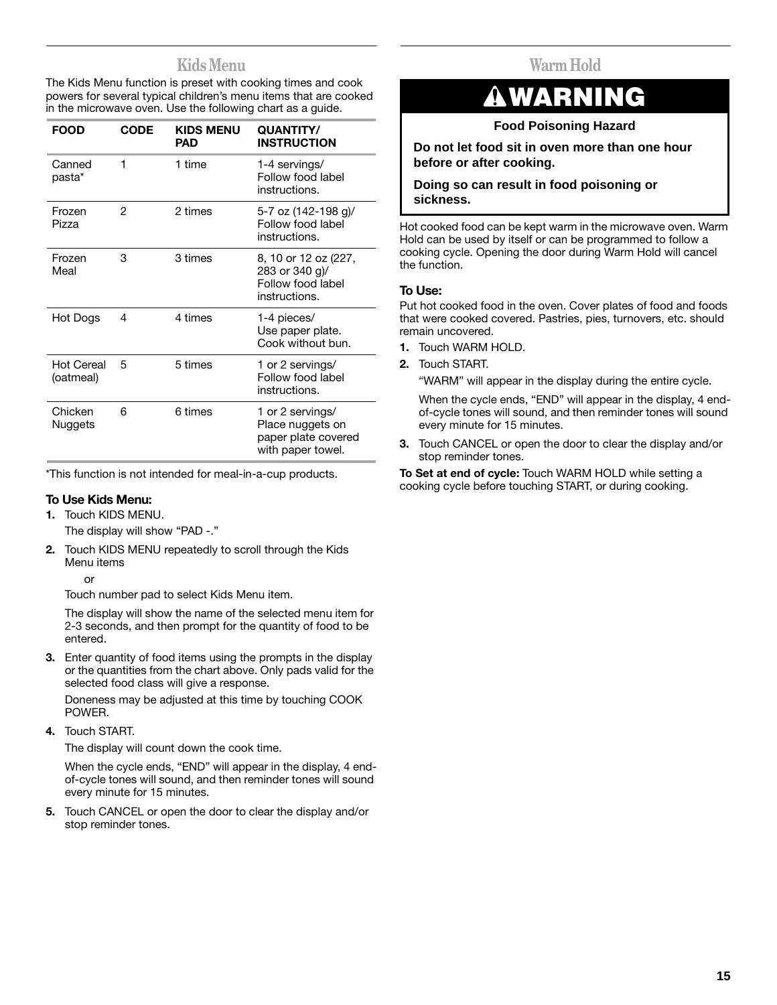## **Kids Menu**

The Kids Menu function is preset with cooking times and cook powers for several typical children's menu items that are cooked in the microwave oven. Use the following chart as a guide.

| <b>FOOD</b>                    | CODE | <b>KIDS MENU</b><br>PAD | <b>QUANTITY/</b><br><b>INSTRUCTION</b>                                           |
|--------------------------------|------|-------------------------|----------------------------------------------------------------------------------|
| Canned<br>pasta*               | 1    | 1 time                  | 1-4 servings/<br>Follow food label<br>instructions.                              |
| Frozen<br>Pizza                | 2    | 2 times                 | 5-7 oz (142-198 g)/<br>Follow food label<br>instructions.                        |
| Frozen<br>Meal                 | 3    | 3 times                 | 8, 10 or 12 oz (227,<br>283 or 340 g)/<br>Follow food label<br>instructions.     |
| Hot Dogs                       | 4    | 4 times                 | 1-4 pieces/<br>Use paper plate.<br>Cook without bun.                             |
| <b>Hot Cereal</b><br>(oatmeal) | 5    | 5 times                 | 1 or 2 servings/<br>Follow food label<br>instructions.                           |
| Chicken<br><b>Nuggets</b>      | 6    | 6 times                 | 1 or 2 servings/<br>Place nuggets on<br>paper plate covered<br>with paper towel. |

\*This function is not intended for meal-in-a-cup products.

### **To Use Kids Menu:**

**1.** Touch KIDS MENU.

The display will show "PAD -."

- **2.** Touch KIDS MENU repeatedly to scroll through the Kids Menu items
	- or

Touch number pad to select Kids Menu item.

The display will show the name of the selected menu item for 2-3 seconds, and then prompt for the quantity of food to be entered.

**3.** Enter quantity of food items using the prompts in the display or the quantities from the chart above. Only pads valid for the selected food class will give a response.

Doneness may be adjusted at this time by touching COOK POWER.

**4.** Touch START.

The display will count down the cook time.

When the cycle ends, "END" will appear in the display, 4 endof-cycle tones will sound, and then reminder tones will sound every minute for 15 minutes.

**5.** Touch CANCEL or open the door to clear the display and/or stop reminder tones.

## **Warm Hold**

## **WARNING**

## **Food Poisoning Hazard**

**Do not let food sit in oven more than one hour before or after cooking.**

## **Doing so can result in food poisoning or sickness.**

Hot cooked food can be kept warm in the microwave oven. Warm Hold can be used by itself or can be programmed to follow a cooking cycle. Opening the door during Warm Hold will cancel the function.

## **To Use:**

Put hot cooked food in the oven. Cover plates of food and foods that were cooked covered. Pastries, pies, turnovers, etc. should remain uncovered.

- **1.** Touch WARM HOLD.
- **2.** Touch START.

"WARM" will appear in the display during the entire cycle.

When the cycle ends, "END" will appear in the display, 4 endof-cycle tones will sound, and then reminder tones will sound every minute for 15 minutes.

**3.** Touch CANCEL or open the door to clear the display and/or stop reminder tones.

**To Set at end of cycle:** Touch WARM HOLD while setting a cooking cycle before touching START, or during cooking.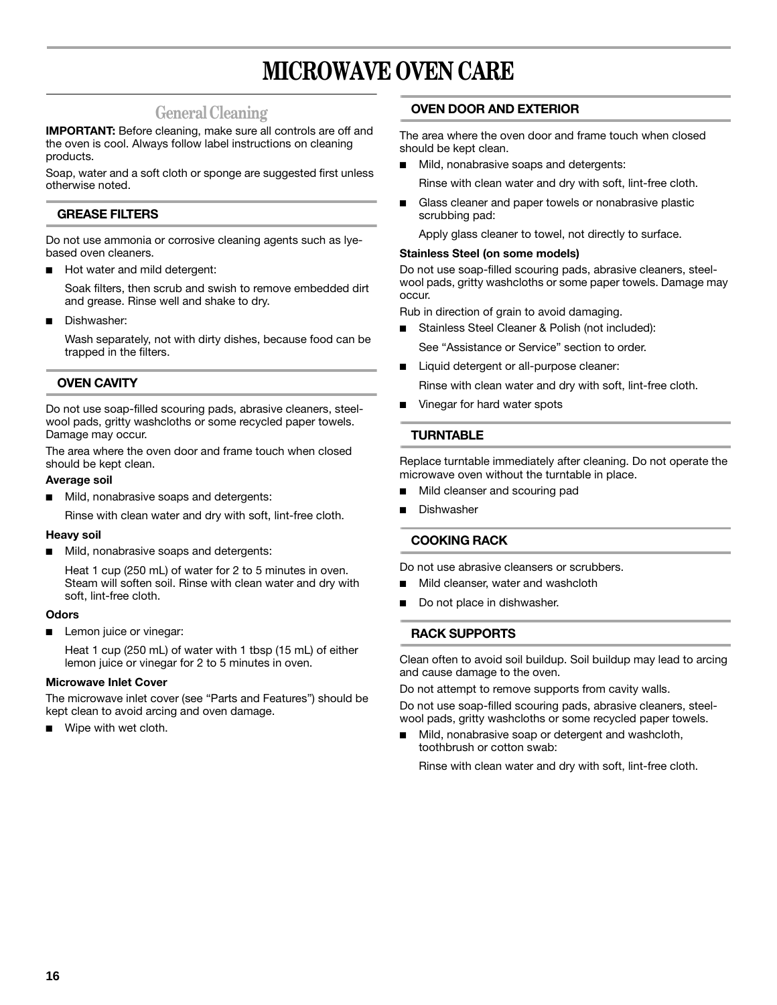## **MICROWAVE OVEN CARE**

## **General Cleaning**

**IMPORTANT:** Before cleaning, make sure all controls are off and the oven is cool. Always follow label instructions on cleaning products.

Soap, water and a soft cloth or sponge are suggested first unless otherwise noted.

## **GREASE FILTERS**

Do not use ammonia or corrosive cleaning agents such as lyebased oven cleaners.

Hot water and mild detergent:

Soak filters, then scrub and swish to remove embedded dirt and grease. Rinse well and shake to dry.

Dishwasher:

Wash separately, not with dirty dishes, because food can be trapped in the filters.

## **OVEN CAVITY**

Do not use soap-filled scouring pads, abrasive cleaners, steelwool pads, gritty washcloths or some recycled paper towels. Damage may occur.

The area where the oven door and frame touch when closed should be kept clean.

#### **Average soil**

■ Mild, nonabrasive soaps and detergents:

Rinse with clean water and dry with soft, lint-free cloth.

#### **Heavy soil**

■ Mild, nonabrasive soaps and detergents:

Heat 1 cup (250 mL) of water for 2 to 5 minutes in oven. Steam will soften soil. Rinse with clean water and dry with soft, lint-free cloth.

#### **Odors**

■ Lemon juice or vinegar:

Heat 1 cup (250 mL) of water with 1 tbsp (15 mL) of either lemon juice or vinegar for 2 to 5 minutes in oven.

#### **Microwave Inlet Cover**

The microwave inlet cover (see "Parts and Features") should be kept clean to avoid arcing and oven damage.

■ Wipe with wet cloth.

## **OVEN DOOR AND EXTERIOR**

The area where the oven door and frame touch when closed should be kept clean.

- Mild, nonabrasive soaps and detergents: Rinse with clean water and dry with soft, lint-free cloth.
- Glass cleaner and paper towels or nonabrasive plastic scrubbing pad:

Apply glass cleaner to towel, not directly to surface.

## **Stainless Steel (on some models)**

Do not use soap-filled scouring pads, abrasive cleaners, steelwool pads, gritty washcloths or some paper towels. Damage may occur.

Rub in direction of grain to avoid damaging.

- Stainless Steel Cleaner & Polish (not included):
- See "Assistance or Service" section to order.
- Liquid detergent or all-purpose cleaner:

Rinse with clean water and dry with soft, lint-free cloth.

Vinegar for hard water spots

## **TURNTABLE**

Replace turntable immediately after cleaning. Do not operate the microwave oven without the turntable in place.

- Mild cleanser and scouring pad
- **Dishwasher**

## **COOKING RACK**

Do not use abrasive cleansers or scrubbers.

- Mild cleanser, water and washcloth
- Do not place in dishwasher.

## **RACK SUPPORTS**

Clean often to avoid soil buildup. Soil buildup may lead to arcing and cause damage to the oven.

Do not attempt to remove supports from cavity walls.

Do not use soap-filled scouring pads, abrasive cleaners, steelwool pads, gritty washcloths or some recycled paper towels.

Mild, nonabrasive soap or detergent and washcloth, toothbrush or cotton swab:

Rinse with clean water and dry with soft, lint-free cloth.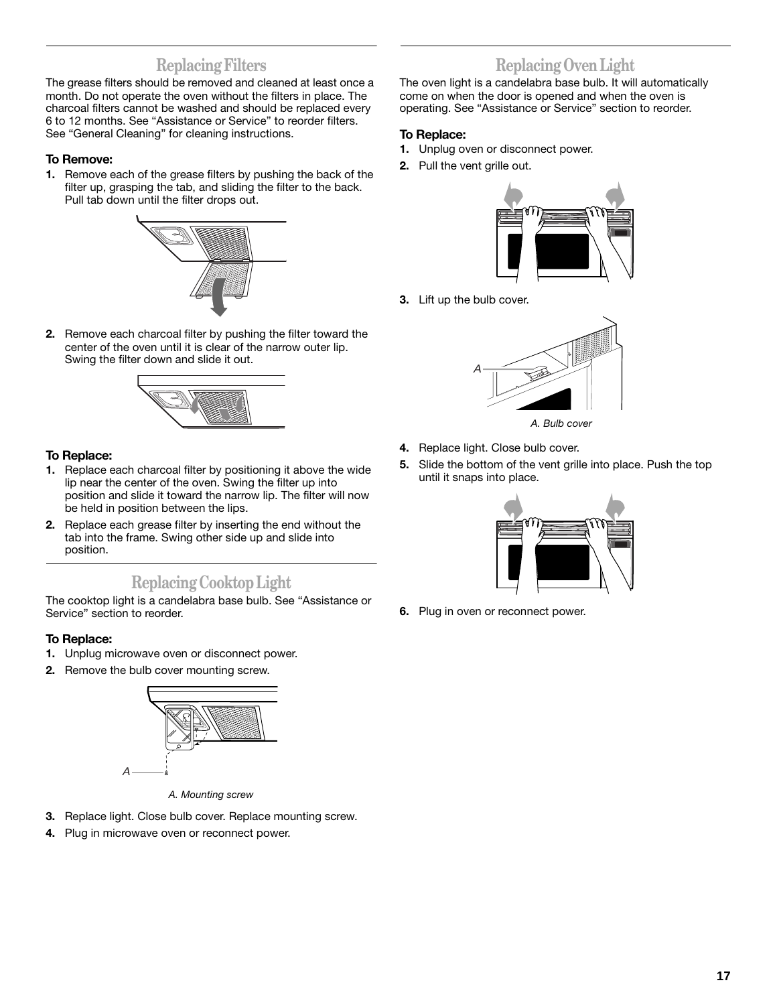## **Replacing Filters**

The grease filters should be removed and cleaned at least once a month. Do not operate the oven without the filters in place. The charcoal filters cannot be washed and should be replaced every 6 to 12 months. See "Assistance or Service" to reorder filters. See "General Cleaning" for cleaning instructions.

## **To Remove:**

**1.** Remove each of the grease filters by pushing the back of the filter up, grasping the tab, and sliding the filter to the back. Pull tab down until the filter drops out.



**2.** Remove each charcoal filter by pushing the filter toward the center of the oven until it is clear of the narrow outer lip. Swing the filter down and slide it out.



## **To Replace:**

- **1.** Replace each charcoal filter by positioning it above the wide lip near the center of the oven. Swing the filter up into position and slide it toward the narrow lip. The filter will now be held in position between the lips.
- **2.** Replace each grease filter by inserting the end without the tab into the frame. Swing other side up and slide into position.

## **Replacing Cooktop Light**

The cooktop light is a candelabra base bulb. See "Assistance or Service" section to reorder.

## **To Replace:**

- **1.** Unplug microwave oven or disconnect power.
- **2.** Remove the bulb cover mounting screw.



*A. Mounting screw*

- **3.** Replace light. Close bulb cover. Replace mounting screw.
- **4.** Plug in microwave oven or reconnect power.

## **Replacing Oven Light**

The oven light is a candelabra base bulb. It will automatically come on when the door is opened and when the oven is operating. See "Assistance or Service" section to reorder.

### **To Replace:**

- **1.** Unplug oven or disconnect power.
- **2.** Pull the vent grille out.



**3.** Lift up the bulb cover.



- *A. Bulb cover*
- **4.** Replace light. Close bulb cover.
- **5.** Slide the bottom of the vent grille into place. Push the top until it snaps into place.



**6.** Plug in oven or reconnect power.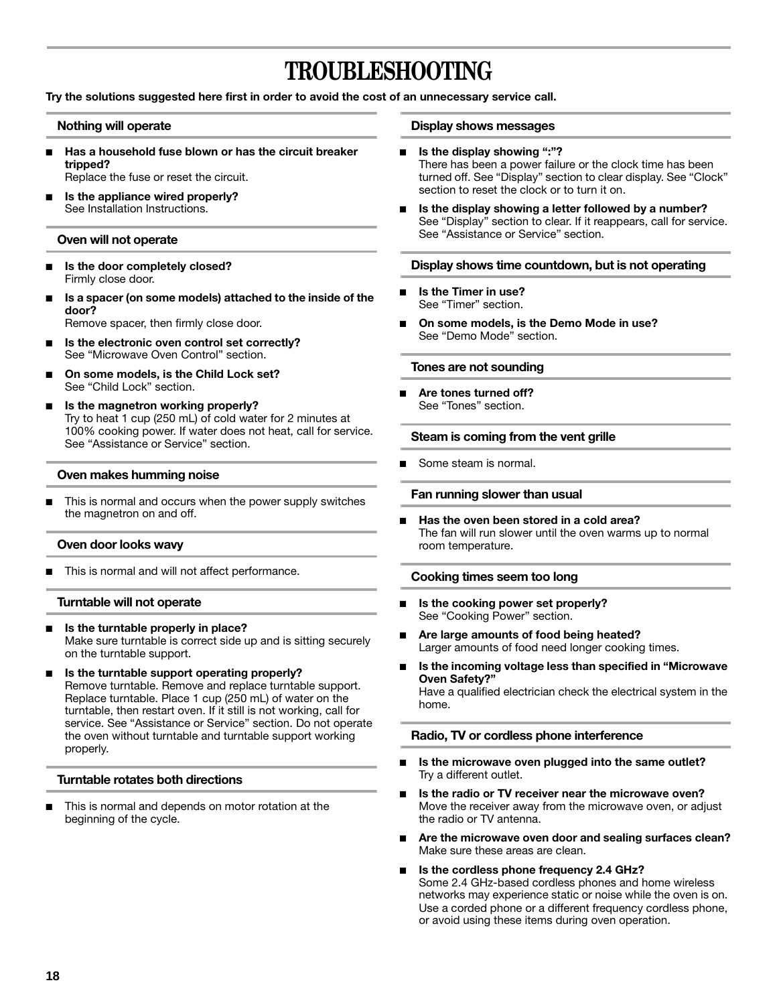## **TROUBLESHOOTING**

**Try the solutions suggested here first in order to avoid the cost of an unnecessary service call.**

#### **Nothing will operate**

- Has a household fuse blown or has the circuit breaker **tripped?** Replace the fuse or reset the circuit.
- **Is the appliance wired properly?** See Installation Instructions.

#### **Oven will not operate**

- Is the door completely closed? Firmly close door.
- **Is a spacer (on some models) attached to the inside of the door?**

Remove spacer, then firmly close door.

- Is the electronic oven control set correctly? See "Microwave Oven Control" section.
- On some models, is the Child Lock set? See "Child Lock" section.
- **Is the magnetron working properly?** Try to heat 1 cup (250 mL) of cold water for 2 minutes at 100% cooking power. If water does not heat, call for service. See "Assistance or Service" section.

#### **Oven makes humming noise**

This is normal and occurs when the power supply switches the magnetron on and off.

#### **Oven door looks wavy**

This is normal and will not affect performance.

#### **Turntable will not operate**

- Is the turntable properly in place? Make sure turntable is correct side up and is sitting securely on the turntable support.
- **Is the turntable support operating properly?** Remove turntable. Remove and replace turntable support. Replace turntable. Place 1 cup (250 mL) of water on the turntable, then restart oven. If it still is not working, call for service. See "Assistance or Service" section. Do not operate the oven without turntable and turntable support working properly.

#### **Turntable rotates both directions**

This is normal and depends on motor rotation at the beginning of the cycle.

#### **Display shows messages**

- **Is the display showing ":"?** There has been a power failure or the clock time has been turned off. See "Display" section to clear display. See "Clock" section to reset the clock or to turn it on.
- Is the display showing a letter followed by a number? See "Display" section to clear. If it reappears, call for service. See "Assistance or Service" section.

#### **Display shows time countdown, but is not operating**

- **Is the Timer in use?** See "Timer" section.
- On some models, is the Demo Mode in use? See "Demo Mode" section.

#### **Tones are not sounding**

Are tones turned off? See "Tones" section.

#### **Steam is coming from the vent grille**

Some steam is normal.

#### **Fan running slower than usual**

**Has the oven been stored in a cold area?** The fan will run slower until the oven warms up to normal room temperature.

#### **Cooking times seem too long**

- **Is the cooking power set properly?** See "Cooking Power" section.
- Are large amounts of food being heated? Larger amounts of food need longer cooking times.
- Is the incoming voltage less than specified in "Microwave **Oven Safety?"** Have a qualified electrician check the electrical system in the home.

#### **Radio, TV or cordless phone interference**

- Is the microwave oven plugged into the same outlet? Try a different outlet.
- Is the radio or TV receiver near the microwave oven? Move the receiver away from the microwave oven, or adjust the radio or TV antenna.
- Are the microwave oven door and sealing surfaces clean? Make sure these areas are clean.

#### Is the cordless phone frequency 2.4 GHz? Some 2.4 GHz-based cordless phones and home wireless networks may experience static or noise while the oven is on. Use a corded phone or a different frequency cordless phone, or avoid using these items during oven operation.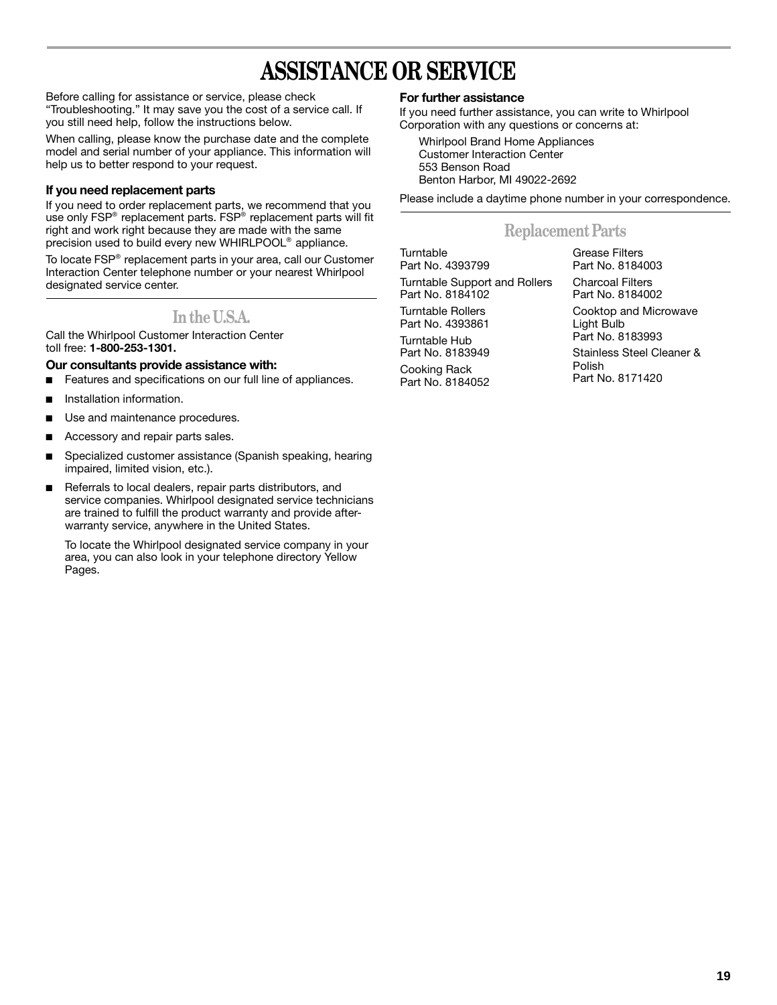## **ASSISTANCE OR SERVICE**

Before calling for assistance or service, please check "Troubleshooting." It may save you the cost of a service call. If you still need help, follow the instructions below.

When calling, please know the purchase date and the complete model and serial number of your appliance. This information will help us to better respond to your request.

## **If you need replacement parts**

If you need to order replacement parts, we recommend that you use only FSP® replacement parts. FSP® replacement parts will fit right and work right because they are made with the same precision used to build every new WHIRLPOOL® appliance.

To locate FSP® replacement parts in your area, call our Customer Interaction Center telephone number or your nearest Whirlpool designated service center.

## **In the U.S.A.**

Call the Whirlpool Customer Interaction Center toll free: **1-800-253-1301.**

## **Our consultants provide assistance with:**

- Features and specifications on our full line of appliances.
- Installation information.
- Use and maintenance procedures.
- Accessory and repair parts sales.
- Specialized customer assistance (Spanish speaking, hearing impaired, limited vision, etc.).
- Referrals to local dealers, repair parts distributors, and service companies. Whirlpool designated service technicians are trained to fulfill the product warranty and provide afterwarranty service, anywhere in the United States.

To locate the Whirlpool designated service company in your area, you can also look in your telephone directory Yellow Pages.

## **For further assistance**

If you need further assistance, you can write to Whirlpool Corporation with any questions or concerns at:

Whirlpool Brand Home Appliances Customer Interaction Center 553 Benson Road Benton Harbor, MI 49022-2692

Please include a daytime phone number in your correspondence.

## **Replacement Parts**

| Turntable<br>Part No. 4393799                            | Grease Filters<br>Part No. 8184003                                                                                 |
|----------------------------------------------------------|--------------------------------------------------------------------------------------------------------------------|
| <b>Turntable Support and Rollers</b><br>Part No. 8184102 | <b>Charcoal Filters</b><br>Part No. 8184002                                                                        |
| <b>Turntable Rollers</b><br>Part No. 4393861             | Cooktop and Microwave<br>Light Bulb<br>Part No. 8183993<br>Stainless Steel Cleaner &<br>Polish<br>Part No. 8171420 |
| Turntable Hub<br>Part No. 8183949                        |                                                                                                                    |
| Cooking Rack<br>Part No. 8184052                         |                                                                                                                    |